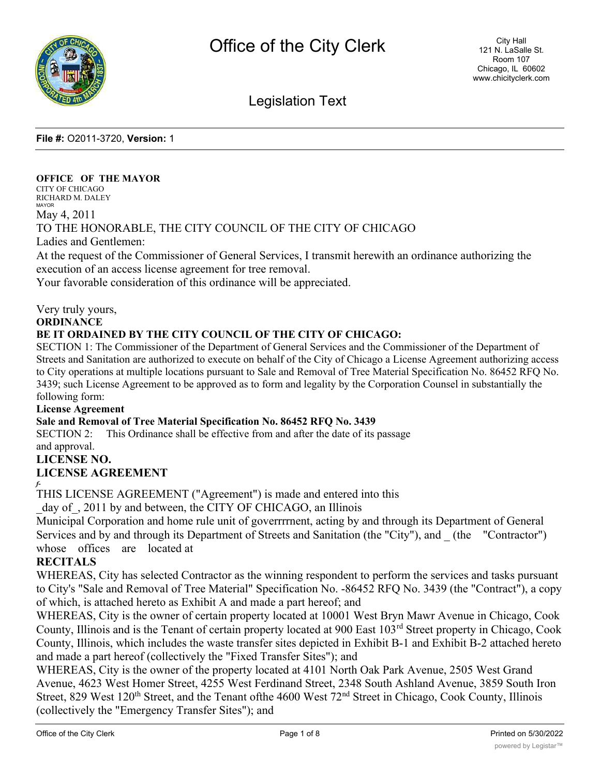

# Legislation Text

**File #:** O2011-3720, **Version:** 1

#### **OFFICE OF THE MAYOR**

CITY OF CHICAGO RICHARD M. DALEY MAYOR

May 4, 2011

## TO THE HONORABLE, THE CITY COUNCIL OF THE CITY OF CHICAGO

Ladies and Gentlemen:

At the request of the Commissioner of General Services, I transmit herewith an ordinance authorizing the execution of an access license agreement for tree removal.

Your favorable consideration of this ordinance will be appreciated.

Very truly yours,

**ORDINANCE**

### **BE IT ORDAINED BY THE CITY COUNCIL OF THE CITY OF CHICAGO:**

SECTION 1: The Commissioner of the Department of General Services and the Commissioner of the Department of Streets and Sanitation are authorized to execute on behalf of the City of Chicago a License Agreement authorizing access to City operations at multiple locations pursuant to Sale and Removal of Tree Material Specification No. 86452 RFQ No. 3439; such License Agreement to be approved as to form and legality by the Corporation Counsel in substantially the following form:

#### **License Agreement**

### **Sale and Removal of Tree Material Specification No. 86452 RFQ No. 3439**

SECTION 2: This Ordinance shall be effective from and after the date of its passage and approval.

### **LICENSE NO.**

### **LICENSE AGREEMENT**

*f-*

THIS LICENSE AGREEMENT ("Agreement") is made and entered into this

day of, 2011 by and between, the CITY OF CHICAGO, an Illinois

Municipal Corporation and home rule unit of goverrrrnent, acting by and through its Department of General Services and by and through its Department of Streets and Sanitation (the "City"), and \_ (the "Contractor") whose offices are located at

### **RECITALS**

WHEREAS, City has selected Contractor as the winning respondent to perform the services and tasks pursuant to City's "Sale and Removal of Tree Material" Specification No. -86452 RFQ No. 3439 (the "Contract"), a copy of which, is attached hereto as Exhibit A and made a part hereof; and

WHEREAS, City is the owner of certain property located at 10001 West Bryn Mawr Avenue in Chicago, Cook County, Illinois and is the Tenant of certain property located at 900 East 103rd Street property in Chicago, Cook County, Illinois, which includes the waste transfer sites depicted in Exhibit B-1 and Exhibit B-2 attached hereto and made a part hereof (collectively the "Fixed Transfer Sites"); and

WHEREAS, City is the owner of the property located at 4101 North Oak Park Avenue, 2505 West Grand Avenue, 4623 West Homer Street, 4255 West Ferdinand Street, 2348 South Ashland Avenue, 3859 South Iron Street, 829 West 120<sup>th</sup> Street, and the Tenant of the 4600 West 72<sup>nd</sup> Street in Chicago, Cook County, Illinois (collectively the "Emergency Transfer Sites"); and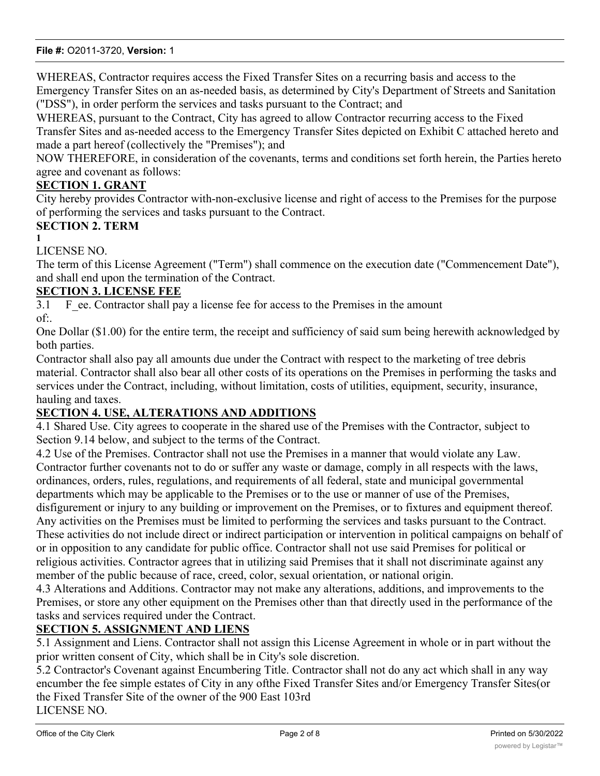WHEREAS, Contractor requires access the Fixed Transfer Sites on a recurring basis and access to the Emergency Transfer Sites on an as-needed basis, as determined by City's Department of Streets and Sanitation ("DSS"), in order perform the services and tasks pursuant to the Contract; and

WHEREAS, pursuant to the Contract, City has agreed to allow Contractor recurring access to the Fixed Transfer Sites and as-needed access to the Emergency Transfer Sites depicted on Exhibit C attached hereto and made a part hereof (collectively the "Premises"); and

NOW THEREFORE, in consideration of the covenants, terms and conditions set forth herein, the Parties hereto agree and covenant as follows:

## **SECTION 1. GRANT**

City hereby provides Contractor with-non-exclusive license and right of access to the Premises for the purpose of performing the services and tasks pursuant to the Contract.

## **SECTION 2. TERM**

**1**

LICENSE NO.

The term of this License Agreement ("Term") shall commence on the execution date ("Commencement Date"), and shall end upon the termination of the Contract.

## **SECTION 3. LICENSE FEE**

3.1 F ee. Contractor shall pay a license fee for access to the Premises in the amount of:.

One Dollar (\$1.00) for the entire term, the receipt and sufficiency of said sum being herewith acknowledged by both parties.

Contractor shall also pay all amounts due under the Contract with respect to the marketing of tree debris material. Contractor shall also bear all other costs of its operations on the Premises in performing the tasks and services under the Contract, including, without limitation, costs of utilities, equipment, security, insurance, hauling and taxes.

## **SECTION 4. USE, ALTERATIONS AND ADDITIONS**

4.1 Shared Use. City agrees to cooperate in the shared use of the Premises with the Contractor, subject to Section 9.14 below, and subject to the terms of the Contract.

4.2 Use of the Premises. Contractor shall not use the Premises in a manner that would violate any Law. Contractor further covenants not to do or suffer any waste or damage, comply in all respects with the laws, ordinances, orders, rules, regulations, and requirements of all federal, state and municipal governmental departments which may be applicable to the Premises or to the use or manner of use of the Premises, disfigurement or injury to any building or improvement on the Premises, or to fixtures and equipment thereof. Any activities on the Premises must be limited to performing the services and tasks pursuant to the Contract. These activities do not include direct or indirect participation or intervention in political campaigns on behalf of or in opposition to any candidate for public office. Contractor shall not use said Premises for political or religious activities. Contractor agrees that in utilizing said Premises that it shall not discriminate against any member of the public because of race, creed, color, sexual orientation, or national origin.

4.3 Alterations and Additions. Contractor may not make any alterations, additions, and improvements to the Premises, or store any other equipment on the Premises other than that directly used in the performance of the tasks and services required under the Contract.

## **SECTION 5. ASSIGNMENT AND LIENS**

5.1 Assignment and Liens. Contractor shall not assign this License Agreement in whole or in part without the prior written consent of City, which shall be in City's sole discretion.

5.2 Contractor's Covenant against Encumbering Title. Contractor shall not do any act which shall in any way encumber the fee simple estates of City in any ofthe Fixed Transfer Sites and/or Emergency Transfer Sites(or the Fixed Transfer Site of the owner of the 900 East 103rd LICENSE NO.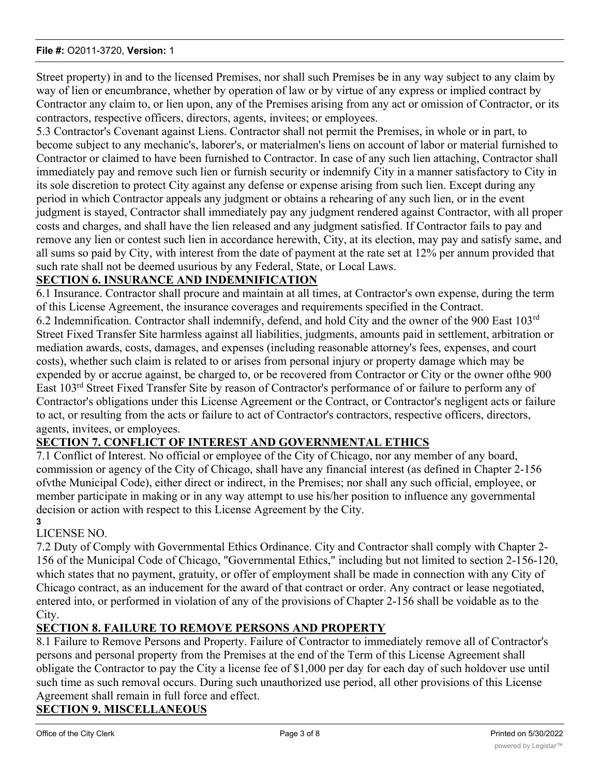Street property) in and to the licensed Premises, nor shall such Premises be in any way subject to any claim by way of lien or encumbrance, whether by operation of law or by virtue of any express or implied contract by Contractor any claim to, or lien upon, any of the Premises arising from any act or omission of Contractor, or its contractors, respective officers, directors, agents, invitees; or employees.

5.3 Contractor's Covenant against Liens. Contractor shall not permit the Premises, in whole or in part, to become subject to any mechanic's, laborer's, or materialmen's liens on account of labor or material furnished to Contractor or claimed to have been furnished to Contractor. In case of any such lien attaching, Contractor shall immediately pay and remove such lien or furnish security or indemnify City in a manner satisfactory to City in its sole discretion to protect City against any defense or expense arising from such lien. Except during any period in which Contractor appeals any judgment or obtains a rehearing of any such lien, or in the event judgment is stayed, Contractor shall immediately pay any judgment rendered against Contractor, with all proper costs and charges, and shall have the lien released and any judgment satisfied. If Contractor fails to pay and remove any lien or contest such lien in accordance herewith, City, at its election, may pay and satisfy same, and all sums so paid by City, with interest from the date of payment at the rate set at 12% per annum provided that such rate shall not be deemed usurious by any Federal, State, or Local Laws.

## **SECTION 6. INSURANCE AND INDEMNIFICATION**

6.1 Insurance. Contractor shall procure and maintain at all times, at Contractor's own expense, during the term of this License Agreement, the insurance coverages and requirements specified in the Contract.

6.2 Indemnification. Contractor shall indemnify, defend, and hold City and the owner of the 900 East 103rd Street Fixed Transfer Site harmless against all liabilities, judgments, amounts paid in settlement, arbitration or mediation awards, costs, damages, and expenses (including reasonable attorney's fees, expenses, and court costs), whether such claim is related to or arises from personal injury or property damage which may be expended by or accrue against, be charged to, or be recovered from Contractor or City or the owner ofthe 900 East 103rd Street Fixed Transfer Site by reason of Contractor's performance of or failure to perform any of Contractor's obligations under this License Agreement or the Contract, or Contractor's negligent acts or failure to act, or resulting from the acts or failure to act of Contractor's contractors, respective officers, directors, agents, invitees, or employees.

## **SECTION 7. CONFLICT OF INTEREST AND GOVERNMENTAL ETHICS**

7.1 Conflict of Interest. No official or employee of the City of Chicago, nor any member of any board, commission or agency of the City of Chicago, shall have any financial interest (as defined in Chapter 2-156 ofvthe Municipal Code), either direct or indirect, in the Premises; nor shall any such official, employee, or member participate in making or in any way attempt to use his/her position to influence any governmental decision or action with respect to this License Agreement by the City.

#### **3** LICENSE NO.

7.2 Duty of Comply with Governmental Ethics Ordinance. City and Contractor shall comply with Chapter 2- 156 of the Municipal Code of Chicago, "Governmental Ethics," including but not limited to section 2-156-120, which states that no payment, gratuity, or offer of employment shall be made in connection with any City of Chicago contract, as an inducement for the award of that contract or order. Any contract or lease negotiated, entered into, or performed in violation of any of the provisions of Chapter 2-156 shall be voidable as to the City.

### **SECTION 8. FAILURE TO REMOVE PERSONS AND PROPERTY**

8.1 Failure to Remove Persons and Property. Failure of Contractor to immediately remove all of Contractor's persons and personal property from the Premises at the end of the Term of this License Agreement shall obligate the Contractor to pay the City a license fee of \$1,000 per day for each day of such holdover use until such time as such removal occurs. During such unauthorized use period, all other provisions of this License Agreement shall remain in full force and effect.

## **SECTION 9. MISCELLANEOUS**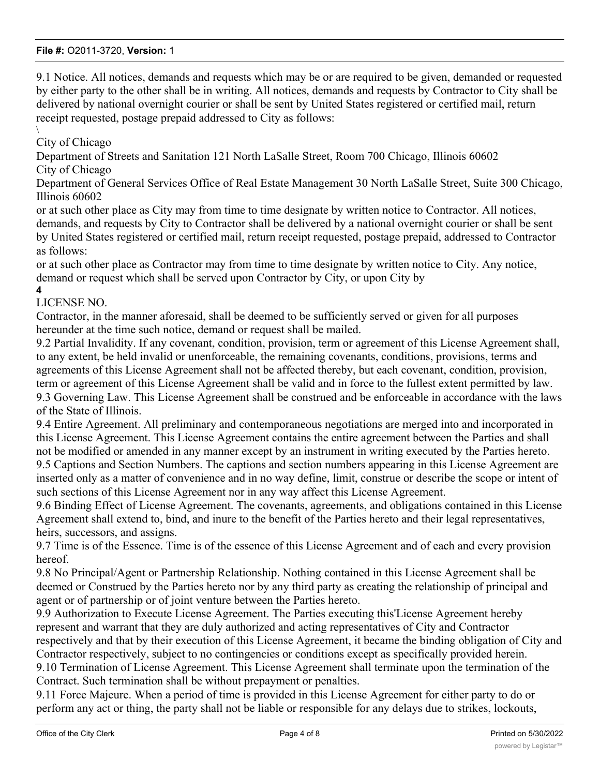9.1 Notice. All notices, demands and requests which may be or are required to be given, demanded or requested by either party to the other shall be in writing. All notices, demands and requests by Contractor to City shall be delivered by national overnight courier or shall be sent by United States registered or certified mail, return receipt requested, postage prepaid addressed to City as follows:

#### $\setminus$ City of Chicago

Department of Streets and Sanitation 121 North LaSalle Street, Room 700 Chicago, Illinois 60602 City of Chicago

Department of General Services Office of Real Estate Management 30 North LaSalle Street, Suite 300 Chicago, Illinois 60602

or at such other place as City may from time to time designate by written notice to Contractor. All notices, demands, and requests by City to Contractor shall be delivered by a national overnight courier or shall be sent by United States registered or certified mail, return receipt requested, postage prepaid, addressed to Contractor as follows:

or at such other place as Contractor may from time to time designate by written notice to City. Any notice, demand or request which shall be served upon Contractor by City, or upon City by

#### **4** LICENSE NO.

Contractor, in the manner aforesaid, shall be deemed to be sufficiently served or given for all purposes hereunder at the time such notice, demand or request shall be mailed.

9.2 Partial Invalidity. If any covenant, condition, provision, term or agreement of this License Agreement shall, to any extent, be held invalid or unenforceable, the remaining covenants, conditions, provisions, terms and agreements of this License Agreement shall not be affected thereby, but each covenant, condition, provision, term or agreement of this License Agreement shall be valid and in force to the fullest extent permitted by law. 9.3 Governing Law. This License Agreement shall be construed and be enforceable in accordance with the laws of the State of Illinois.

9.4 Entire Agreement. All preliminary and contemporaneous negotiations are merged into and incorporated in this License Agreement. This License Agreement contains the entire agreement between the Parties and shall not be modified or amended in any manner except by an instrument in writing executed by the Parties hereto. 9.5 Captions and Section Numbers. The captions and section numbers appearing in this License Agreement are

inserted only as a matter of convenience and in no way define, limit, construe or describe the scope or intent of such sections of this License Agreement nor in any way affect this License Agreement.

9.6 Binding Effect of License Agreement. The covenants, agreements, and obligations contained in this License Agreement shall extend to, bind, and inure to the benefit of the Parties hereto and their legal representatives, heirs, successors, and assigns.

9.7 Time is of the Essence. Time is of the essence of this License Agreement and of each and every provision hereof.

9.8 No Principal/Agent or Partnership Relationship. Nothing contained in this License Agreement shall be deemed or Construed by the Parties hereto nor by any third party as creating the relationship of principal and agent or of partnership or of joint venture between the Parties hereto.

9.9 Authorization to Execute License Agreement. The Parties executing this'License Agreement hereby represent and warrant that they are duly authorized and acting representatives of City and Contractor respectively and that by their execution of this License Agreement, it became the binding obligation of City and Contractor respectively, subject to no contingencies or conditions except as specifically provided herein. 9.10 Termination of License Agreement. This License Agreement shall terminate upon the termination of the Contract. Such termination shall be without prepayment or penalties.

9.11 Force Majeure. When a period of time is provided in this License Agreement for either party to do or perform any act or thing, the party shall not be liable or responsible for any delays due to strikes, lockouts,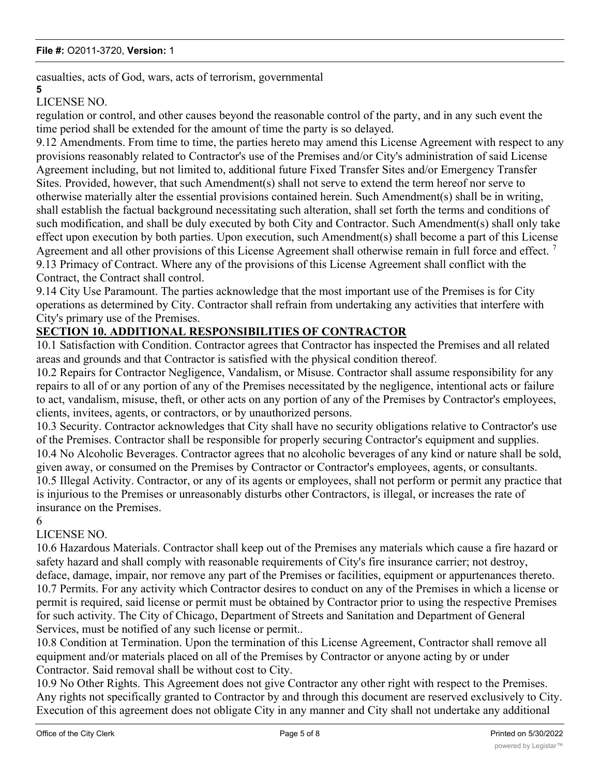casualties, acts of God, wars, acts of terrorism, governmental

#### **5**

## LICENSE NO.

regulation or control, and other causes beyond the reasonable control of the party, and in any such event the time period shall be extended for the amount of time the party is so delayed.

9.12 Amendments. From time to time, the parties hereto may amend this License Agreement with respect to any provisions reasonably related to Contractor's use of the Premises and/or City's administration of said License Agreement including, but not limited to, additional future Fixed Transfer Sites and/or Emergency Transfer Sites. Provided, however, that such Amendment(s) shall not serve to extend the term hereof nor serve to otherwise materially alter the essential provisions contained herein. Such Amendment(s) shall be in writing, shall establish the factual background necessitating such alteration, shall set forth the terms and conditions of such modification, and shall be duly executed by both City and Contractor. Such Amendment(s) shall only take effect upon execution by both parties. Upon execution, such Amendment(s) shall become a part of this License Agreement and all other provisions of this License Agreement shall otherwise remain in full force and effect.<sup>7</sup> 9.13 Primacy of Contract. Where any of the provisions of this License Agreement shall conflict with the Contract, the Contract shall control.

9.14 City Use Paramount. The parties acknowledge that the most important use of the Premises is for City operations as determined by City. Contractor shall refrain from undertaking any activities that interfere with City's primary use of the Premises.

## **SECTION 10. ADDITIONAL RESPONSIBILITIES OF CONTRACTOR**

10.1 Satisfaction with Condition. Contractor agrees that Contractor has inspected the Premises and all related areas and grounds and that Contractor is satisfied with the physical condition thereof.

10.2 Repairs for Contractor Negligence, Vandalism, or Misuse. Contractor shall assume responsibility for any repairs to all of or any portion of any of the Premises necessitated by the negligence, intentional acts or failure to act, vandalism, misuse, theft, or other acts on any portion of any of the Premises by Contractor's employees, clients, invitees, agents, or contractors, or by unauthorized persons.

10.3 Security. Contractor acknowledges that City shall have no security obligations relative to Contractor's use of the Premises. Contractor shall be responsible for properly securing Contractor's equipment and supplies. 10.4 No Alcoholic Beverages. Contractor agrees that no alcoholic beverages of any kind or nature shall be sold, given away, or consumed on the Premises by Contractor or Contractor's employees, agents, or consultants. 10.5 Illegal Activity. Contractor, or any of its agents or employees, shall not perform or permit any practice that is injurious to the Premises or unreasonably disturbs other Contractors, is illegal, or increases the rate of insurance on the Premises.

6

## LICENSE NO.

10.6 Hazardous Materials. Contractor shall keep out of the Premises any materials which cause a fire hazard or safety hazard and shall comply with reasonable requirements of City's fire insurance carrier; not destroy, deface, damage, impair, nor remove any part of the Premises or facilities, equipment or appurtenances thereto. 10.7 Permits. For any activity which Contractor desires to conduct on any of the Premises in which a license or permit is required, said license or permit must be obtained by Contractor prior to using the respective Premises for such activity. The City of Chicago, Department of Streets and Sanitation and Department of General Services, must be notified of any such license or permit..

10.8 Condition at Termination. Upon the termination of this License Agreement, Contractor shall remove all equipment and/or materials placed on all of the Premises by Contractor or anyone acting by or under Contractor. Said removal shall be without cost to City.

10.9 No Other Rights. This Agreement does not give Contractor any other right with respect to the Premises. Any rights not specifically granted to Contractor by and through this document are reserved exclusively to City. Execution of this agreement does not obligate City in any manner and City shall not undertake any additional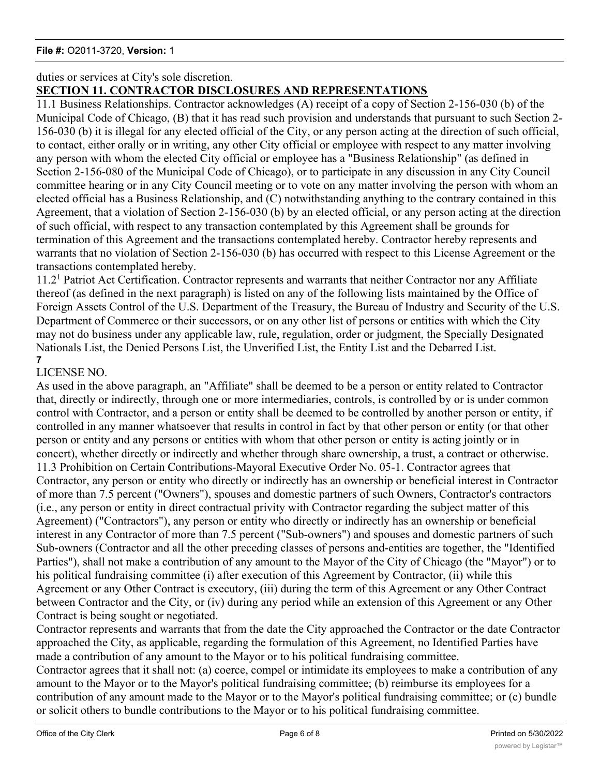## duties or services at City's sole discretion.

## **SECTION 11. CONTRACTOR DISCLOSURES AND REPRESENTATIONS**

11.1 Business Relationships. Contractor acknowledges (A) receipt of a copy of Section 2-156-030 (b) of the Municipal Code of Chicago, (B) that it has read such provision and understands that pursuant to such Section 2- 156-030 (b) it is illegal for any elected official of the City, or any person acting at the direction of such official, to contact, either orally or in writing, any other City official or employee with respect to any matter involving any person with whom the elected City official or employee has a "Business Relationship" (as defined in Section 2-156-080 of the Municipal Code of Chicago), or to participate in any discussion in any City Council committee hearing or in any City Council meeting or to vote on any matter involving the person with whom an elected official has a Business Relationship, and (C) notwithstanding anything to the contrary contained in this Agreement, that a violation of Section 2-156-030 (b) by an elected official, or any person acting at the direction of such official, with respect to any transaction contemplated by this Agreement shall be grounds for termination of this Agreement and the transactions contemplated hereby. Contractor hereby represents and warrants that no violation of Section 2-156-030 (b) has occurred with respect to this License Agreement or the transactions contemplated hereby.

11.2<sup>1</sup> Patriot Act Certification. Contractor represents and warrants that neither Contractor nor any Affiliate thereof (as defined in the next paragraph) is listed on any of the following lists maintained by the Office of Foreign Assets Control of the U.S. Department of the Treasury, the Bureau of Industry and Security of the U.S. Department of Commerce or their successors, or on any other list of persons or entities with which the City may not do business under any applicable law, rule, regulation, order or judgment, the Specially Designated Nationals List, the Denied Persons List, the Unverified List, the Entity List and the Debarred List. **7**

## LICENSE NO.

As used in the above paragraph, an "Affiliate" shall be deemed to be a person or entity related to Contractor that, directly or indirectly, through one or more intermediaries, controls, is controlled by or is under common control with Contractor, and a person or entity shall be deemed to be controlled by another person or entity, if controlled in any manner whatsoever that results in control in fact by that other person or entity (or that other person or entity and any persons or entities with whom that other person or entity is acting jointly or in concert), whether directly or indirectly and whether through share ownership, a trust, a contract or otherwise. 11.3 Prohibition on Certain Contributions-Mayoral Executive Order No. 05-1. Contractor agrees that Contractor, any person or entity who directly or indirectly has an ownership or beneficial interest in Contractor of more than 7.5 percent ("Owners"), spouses and domestic partners of such Owners, Contractor's contractors (i.e., any person or entity in direct contractual privity with Contractor regarding the subject matter of this Agreement) ("Contractors"), any person or entity who directly or indirectly has an ownership or beneficial interest in any Contractor of more than 7.5 percent ("Sub-owners") and spouses and domestic partners of such Sub-owners (Contractor and all the other preceding classes of persons and-entities are together, the "Identified Parties"), shall not make a contribution of any amount to the Mayor of the City of Chicago (the "Mayor") or to his political fundraising committee (i) after execution of this Agreement by Contractor, (ii) while this Agreement or any Other Contract is executory, (iii) during the term of this Agreement or any Other Contract between Contractor and the City, or (iv) during any period while an extension of this Agreement or any Other Contract is being sought or negotiated.

Contractor represents and warrants that from the date the City approached the Contractor or the date Contractor approached the City, as applicable, regarding the formulation of this Agreement, no Identified Parties have made a contribution of any amount to the Mayor or to his political fundraising committee.

Contractor agrees that it shall not: (a) coerce, compel or intimidate its employees to make a contribution of any amount to the Mayor or to the Mayor's political fundraising committee; (b) reimburse its employees for a contribution of any amount made to the Mayor or to the Mayor's political fundraising committee; or (c) bundle or solicit others to bundle contributions to the Mayor or to his political fundraising committee.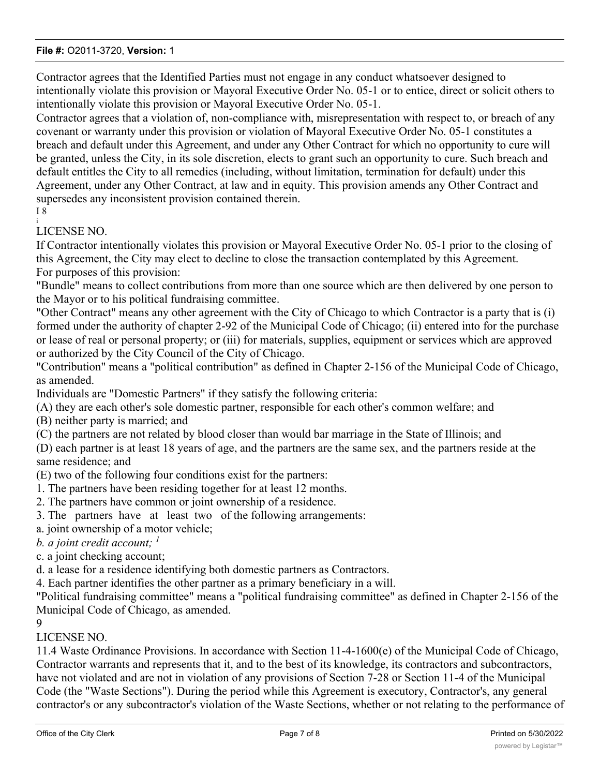Contractor agrees that the Identified Parties must not engage in any conduct whatsoever designed to intentionally violate this provision or Mayoral Executive Order No. 05-1 or to entice, direct or solicit others to intentionally violate this provision or Mayoral Executive Order No. 05-1.

Contractor agrees that a violation of, non-compliance with, misrepresentation with respect to, or breach of any covenant or warranty under this provision or violation of Mayoral Executive Order No. 05-1 constitutes a breach and default under this Agreement, and under any Other Contract for which no opportunity to cure will be granted, unless the City, in its sole discretion, elects to grant such an opportunity to cure. Such breach and default entitles the City to all remedies (including, without limitation, termination for default) under this Agreement, under any Other Contract, at law and in equity. This provision amends any Other Contract and supersedes any inconsistent provision contained therein.

I 8

#### i LICENSE NO.

If Contractor intentionally violates this provision or Mayoral Executive Order No. 05-1 prior to the closing of this Agreement, the City may elect to decline to close the transaction contemplated by this Agreement. For purposes of this provision:

"Bundle" means to collect contributions from more than one source which are then delivered by one person to the Mayor or to his political fundraising committee.

"Other Contract" means any other agreement with the City of Chicago to which Contractor is a party that is (i) formed under the authority of chapter 2-92 of the Municipal Code of Chicago; (ii) entered into for the purchase or lease of real or personal property; or (iii) for materials, supplies, equipment or services which are approved or authorized by the City Council of the City of Chicago.

"Contribution" means a "political contribution" as defined in Chapter 2-156 of the Municipal Code of Chicago, as amended.

Individuals are "Domestic Partners" if they satisfy the following criteria:

(A) they are each other's sole domestic partner, responsible for each other's common welfare; and

(B) neither party is married; and

(C) the partners are not related by blood closer than would bar marriage in the State of Illinois; and

(D) each partner is at least 18 years of age, and the partners are the same sex, and the partners reside at the same residence; and

(E) two of the following four conditions exist for the partners:

- 1. The partners have been residing together for at least 12 months.
- 2. The partners have common or joint ownership of a residence.

3. The partners have at least two of the following arrangements:

a. joint ownership of a motor vehicle;

*b. a joint credit account; <sup>1</sup>*

c. a joint checking account;

d. a lease for a residence identifying both domestic partners as Contractors.

4. Each partner identifies the other partner as a primary beneficiary in a will.

"Political fundraising committee" means a "political fundraising committee" as defined in Chapter 2-156 of the Municipal Code of Chicago, as amended.

#### $\mathbf{Q}$

## LICENSE NO.

11.4 Waste Ordinance Provisions. In accordance with Section 11-4-1600(e) of the Municipal Code of Chicago, Contractor warrants and represents that it, and to the best of its knowledge, its contractors and subcontractors, have not violated and are not in violation of any provisions of Section 7-28 or Section 11-4 of the Municipal Code (the "Waste Sections"). During the period while this Agreement is executory, Contractor's, any general contractor's or any subcontractor's violation of the Waste Sections, whether or not relating to the performance of